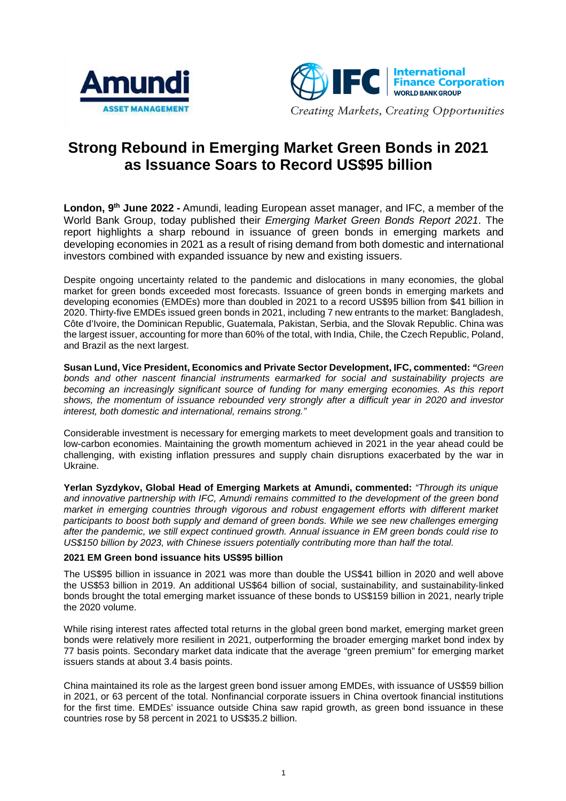



# **Strong Rebound in Emerging Market Green Bonds in 2021 as Issuance Soars to Record US\$95 billion**

**London, 9th June 2022 -** Amundi, leading European asset manager, and IFC, a member of the World Bank Group, today published their Emerging Market Green Bonds Report 2021. The report highlights a sharp rebound in issuance of green bonds in emerging markets and developing economies in 2021 as a result of rising demand from both domestic and international investors combined with expanded issuance by new and existing issuers.

Despite ongoing uncertainty related to the pandemic and dislocations in many economies, the global market for green bonds exceeded most forecasts. Issuance of green bonds in emerging markets and developing economies (EMDEs) more than doubled in 2021 to a record US\$95 billion from \$41 billion in 2020. Thirty-five EMDEs issued green bonds in 2021, including 7 new entrants to the market: Bangladesh, Côte d'Ivoire, the Dominican Republic, Guatemala, Pakistan, Serbia, and the Slovak Republic. China was the largest issuer, accounting for more than 60% of the total, with India, Chile, the Czech Republic, Poland, and Brazil as the next largest.

**Susan Lund, Vice President, Economics and Private Sector Development, IFC, commented: "**Green bonds and other nascent financial instruments earmarked for social and sustainability projects are becoming an increasingly significant source of funding for many emerging economies. As this report shows, the momentum of issuance rebounded very strongly after a difficult year in 2020 and investor interest, both domestic and international, remains strong."

Considerable investment is necessary for emerging markets to meet development goals and transition to low-carbon economies. Maintaining the growth momentum achieved in 2021 in the year ahead could be challenging, with existing inflation pressures and supply chain disruptions exacerbated by the war in Ukraine.

**Yerlan Syzdykov, Global Head of Emerging Markets at Amundi, commented:** "Through its unique and innovative partnership with IFC, Amundi remains committed to the development of the green bond market in emerging countries through vigorous and robust engagement efforts with different market participants to boost both supply and demand of green bonds. While we see new challenges emerging after the pandemic, we still expect continued growth. Annual issuance in EM green bonds could rise to US\$150 billion by 2023, with Chinese issuers potentially contributing more than half the total.

# **2021 EM Green bond issuance hits US\$95 billion**

The US\$95 billion in issuance in 2021 was more than double the US\$41 billion in 2020 and well above the US\$53 billion in 2019. An additional US\$64 billion of social, sustainability, and sustainability-linked bonds brought the total emerging market issuance of these bonds to US\$159 billion in 2021, nearly triple the 2020 volume.

While rising interest rates affected total returns in the global green bond market, emerging market green bonds were relatively more resilient in 2021, outperforming the broader emerging market bond index by 77 basis points. Secondary market data indicate that the average "green premium" for emerging market issuers stands at about 3.4 basis points.

China maintained its role as the largest green bond issuer among EMDEs, with issuance of US\$59 billion in 2021, or 63 percent of the total. Nonfinancial corporate issuers in China overtook financial institutions for the first time. EMDEs' issuance outside China saw rapid growth, as green bond issuance in these countries rose by 58 percent in 2021 to US\$35.2 billion.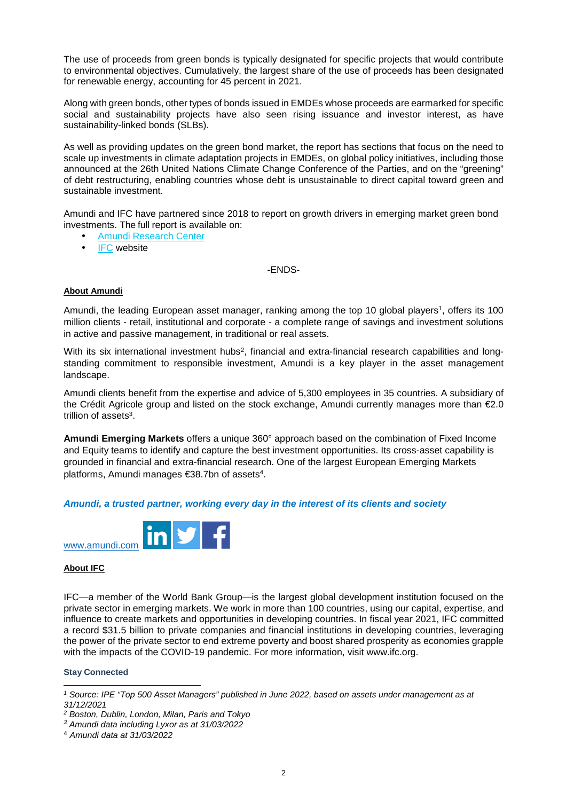The use of proceeds from green bonds is typically designated for specific projects that would contribute to environmental objectives. Cumulatively, the largest share of the use of proceeds has been designated for renewable energy, accounting for 45 percent in 2021.

Along with green bonds, other types of bonds issued in EMDEs whose proceeds are earmarked for specific social and sustainability projects have also seen rising issuance and investor interest, as have sustainability-linked bonds (SLBs).

As well as providing updates on the green bond market, the report has sections that focus on the need to scale up investments in climate adaptation projects in EMDEs, on global policy initiatives, including those announced at the 26th United Nations Climate Change Conference of the Parties, and on the "greening" of debt restructuring, enabling countries whose debt is unsustainable to direct capital toward green and sustainable investment.

Amundi and IFC have partnered since 2018 to report on growth drivers in emerging market green bond investments. The full report is available on:

- Amundi Research Center
- IFC website

## -ENDS-

## **About Amundi**

Amundi, the leading European asset manager, ranking among the top 10 global players<sup>1</sup>, offers its 100 million clients - retail, institutional and corporate - a complete range of savings and investment solutions in active and passive management, in traditional or real assets.

With its six international investment hubs<sup>2</sup>, financial and extra-financial research capabilities and longstanding commitment to responsible investment, Amundi is a key player in the asset management landscape.

Amundi clients benefit from the expertise and advice of 5,300 employees in 35 countries. A subsidiary of the Crédit Agricole group and listed on the stock exchange, Amundi currently manages more than €2.0 trillion of assets<sup>3</sup>.

**Amundi Emerging Markets** offers a unique 360° approach based on the combination of Fixed Income and Equity teams to identify and capture the best investment opportunities. Its cross-asset capability is grounded in financial and extra-financial research. One of the largest European Emerging Markets platforms, Amundi manages €38.7bn of assets<sup>4</sup>.

#### **Amundi, a trusted partner, working every day in the interest of its clients and society**



# **About IFC**

IFC—a member of the World Bank Group—is the largest global development institution focused on the private sector in emerging markets. We work in more than 100 countries, using our capital, expertise, and influence to create markets and opportunities in developing countries. In fiscal year 2021, IFC committed a record \$31.5 billion to private companies and financial institutions in developing countries, leveraging the power of the private sector to end extreme poverty and boost shared prosperity as economies grapple with the impacts of the COVID-19 pandemic. For more information, visit www.ifc.org.

#### **Stay Connected**

 1 Source: IPE "Top 500 Asset Managers" published in June 2022, based on assets under management as at 31/12/2021

<sup>&</sup>lt;sup>2</sup> Boston, Dublin, London, Milan, Paris and Tokyo

<sup>3</sup> Amundi data including Lyxor as at 31/03/2022

<sup>4</sup> Amundi data at 31/03/2022